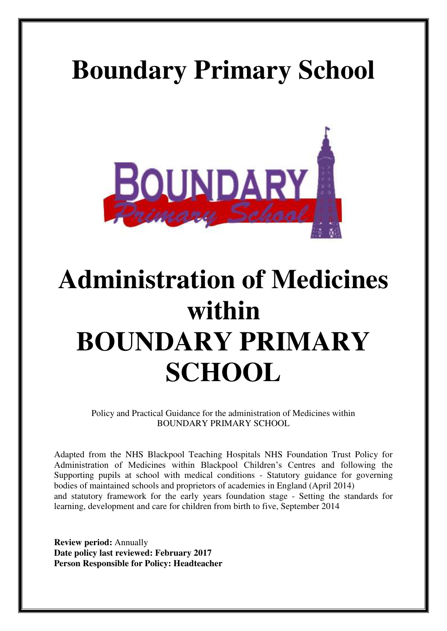# **Boundary Primary School**



# **Administration of Medicines within BOUNDARY PRIMARY SCHOOL**

Policy and Practical Guidance for the administration of Medicines within BOUNDARY PRIMARY SCHOOL

Adapted from the NHS Blackpool Teaching Hospitals NHS Foundation Trust Policy for Administration of Medicines within Blackpool Children's Centres and following the Supporting pupils at school with medical conditions - Statutory guidance for governing bodies of maintained schools and proprietors of academies in England (April 2014) and statutory framework for the early years foundation stage - Setting the standards for learning, development and care for children from birth to five, September 2014

**Review period:** Annually **Date policy last reviewed: February 2017 Person Responsible for Policy: Headteacher**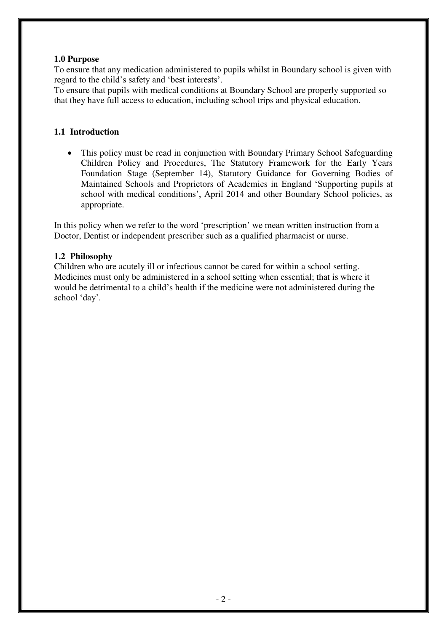#### **1.0 Purpose**

To ensure that any medication administered to pupils whilst in Boundary school is given with regard to the child's safety and 'best interests'.

To ensure that pupils with medical conditions at Boundary School are properly supported so that they have full access to education, including school trips and physical education.

#### **1.1 Introduction**

• This policy must be read in conjunction with Boundary Primary School Safeguarding Children Policy and Procedures, The Statutory Framework for the Early Years Foundation Stage (September 14), Statutory Guidance for Governing Bodies of Maintained Schools and Proprietors of Academies in England 'Supporting pupils at school with medical conditions', April 2014 and other Boundary School policies, as appropriate.

In this policy when we refer to the word 'prescription' we mean written instruction from a Doctor, Dentist or independent prescriber such as a qualified pharmacist or nurse.

#### **1.2 Philosophy**

Children who are acutely ill or infectious cannot be cared for within a school setting. Medicines must only be administered in a school setting when essential; that is where it would be detrimental to a child's health if the medicine were not administered during the school 'day'.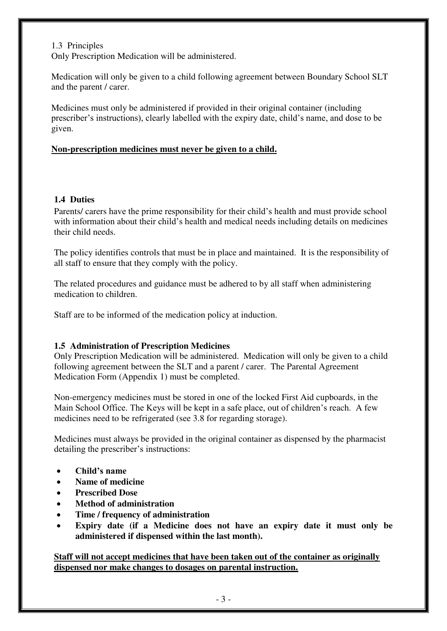#### 1.3 Principles

Only Prescription Medication will be administered.

Medication will only be given to a child following agreement between Boundary School SLT and the parent / carer.

Medicines must only be administered if provided in their original container (including prescriber's instructions), clearly labelled with the expiry date, child's name, and dose to be given.

#### **Non-prescription medicines must never be given to a child.**

#### **1.4 Duties**

Parents/ carers have the prime responsibility for their child's health and must provide school with information about their child's health and medical needs including details on medicines their child needs.

The policy identifies controls that must be in place and maintained. It is the responsibility of all staff to ensure that they comply with the policy.

The related procedures and guidance must be adhered to by all staff when administering medication to children.

Staff are to be informed of the medication policy at induction.

#### **1.5 Administration of Prescription Medicines**

Only Prescription Medication will be administered. Medication will only be given to a child following agreement between the SLT and a parent / carer. The Parental Agreement Medication Form (Appendix 1) must be completed.

Non-emergency medicines must be stored in one of the locked First Aid cupboards, in the Main School Office. The Keys will be kept in a safe place, out of children's reach. A few medicines need to be refrigerated (see 3.8 for regarding storage).

Medicines must always be provided in the original container as dispensed by the pharmacist detailing the prescriber's instructions:

- **Child's name**
- **Name of medicine**
- **Prescribed Dose**
- **Method of administration**
- **Time / frequency of administration**
- **Expiry date (if a Medicine does not have an expiry date it must only be administered if dispensed within the last month).**

**Staff will not accept medicines that have been taken out of the container as originally dispensed nor make changes to dosages on parental instruction.**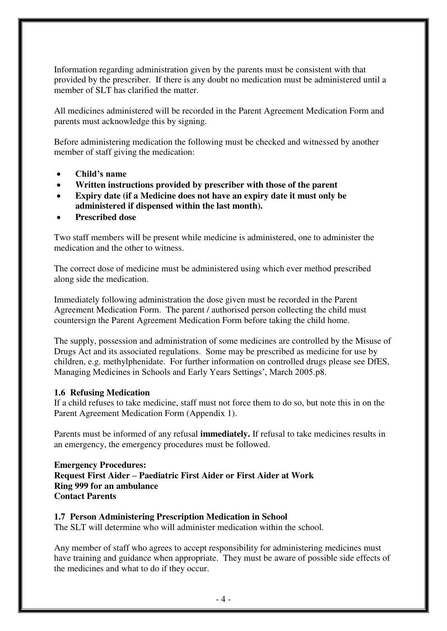Information regarding administration given by the parents must be consistent with that provided by the prescriber. If there is any doubt no medication must be administered until a member of SLT has clarified the matter.

All medicines administered will be recorded in the Parent Agreement Medication Form and parents must acknowledge this by signing.

Before administering medication the following must be checked and witnessed by another member of staff giving the medication:

- **Child's name**
- **Written instructions provided by prescriber with those of the parent**
- **Expiry date (if a Medicine does not have an expiry date it must only be administered if dispensed within the last month).**
- **Prescribed dose**

Two staff members will be present while medicine is administered, one to administer the medication and the other to witness.

The correct dose of medicine must be administered using which ever method prescribed along side the medication.

Immediately following administration the dose given must be recorded in the Parent Agreement Medication Form. The parent / authorised person collecting the child must countersign the Parent Agreement Medication Form before taking the child home.

The supply, possession and administration of some medicines are controlled by the Misuse of Drugs Act and its associated regulations. Some may be prescribed as medicine for use by children, e.g. methylphenidate. For further information on controlled drugs please see DfES, Managing Medicines in Schools and Early Years Settings', March 2005.p8.

#### **1.6 Refusing Medication**

If a child refuses to take medicine, staff must not force them to do so, but note this in on the Parent Agreement Medication Form (Appendix 1).

Parents must be informed of any refusal **immediately.** If refusal to take medicines results in an emergency, the emergency procedures must be followed.

**Emergency Procedures: Request First Aider – Paediatric First Aider or First Aider at Work Ring 999 for an ambulance Contact Parents**

#### **1.7 Person Administering Prescription Medication in School**

The SLT will determine who will administer medication within the school.

Any member of staff who agrees to accept responsibility for administering medicines must have training and guidance when appropriate. They must be aware of possible side effects of the medicines and what to do if they occur.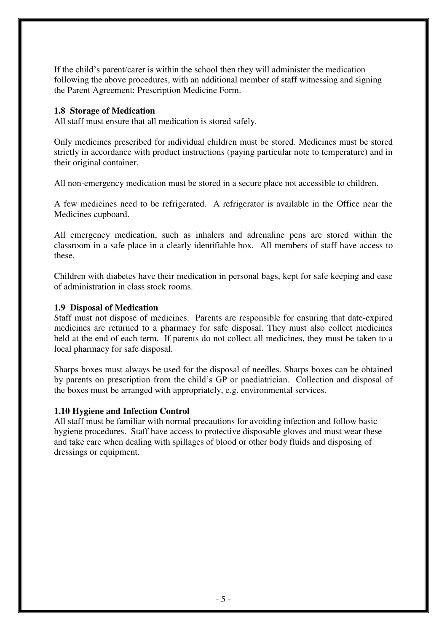If the child's parent/carer is within the school then they will administer the medication following the above procedures, with an additional member of staff witnessing and signing the Parent Agreement: Prescription Medicine Form.

#### **1.8 Storage of Medication**

All staff must ensure that all medication is stored safely.

Only medicines prescribed for individual children must be stored. Medicines must be stored strictly in accordance with product instructions (paying particular note to temperature) and in their original container.

All non-emergency medication must be stored in a secure place not accessible to children.

A few medicines need to be refrigerated. A refrigerator is available in the Office near the Medicines cupboard.

All emergency medication, such as inhalers and adrenaline pens are stored within the classroom in a safe place in a clearly identifiable box. All members of staff have access to these.

Children with diabetes have their medication in personal bags, kept for safe keeping and ease of administration in class stock rooms.

#### **1.9 Disposal of Medication**

Staff must not dispose of medicines. Parents are responsible for ensuring that date-expired medicines are returned to a pharmacy for safe disposal. They must also collect medicines held at the end of each term. If parents do not collect all medicines, they must be taken to a local pharmacy for safe disposal.

Sharps boxes must always be used for the disposal of needles. Sharps boxes can be obtained by parents on prescription from the child's GP or paediatrician. Collection and disposal of the boxes must be arranged with appropriately, e.g. environmental services.

#### **1.10 Hygiene and Infection Control**

All staff must be familiar with normal precautions for avoiding infection and follow basic hygiene procedures. Staff have access to protective disposable gloves and must wear these and take care when dealing with spillages of blood or other body fluids and disposing of dressings or equipment.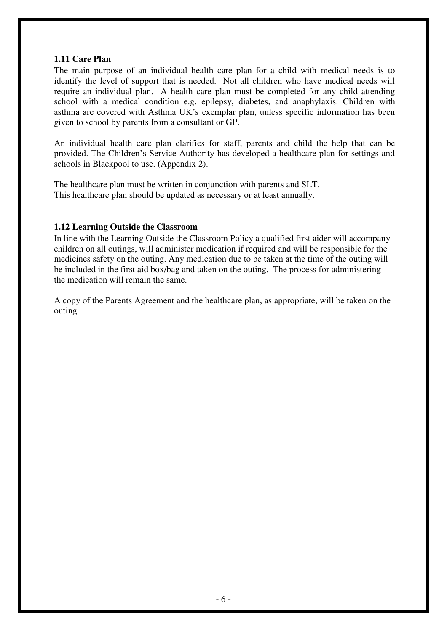#### **1.11 Care Plan**

The main purpose of an individual health care plan for a child with medical needs is to identify the level of support that is needed. Not all children who have medical needs will require an individual plan. A health care plan must be completed for any child attending school with a medical condition e.g. epilepsy, diabetes, and anaphylaxis. Children with asthma are covered with Asthma UK's exemplar plan, unless specific information has been given to school by parents from a consultant or GP.

An individual health care plan clarifies for staff, parents and child the help that can be provided. The Children's Service Authority has developed a healthcare plan for settings and schools in Blackpool to use. (Appendix 2).

The healthcare plan must be written in conjunction with parents and SLT. This healthcare plan should be updated as necessary or at least annually.

#### **1.12 Learning Outside the Classroom**

In line with the Learning Outside the Classroom Policy a qualified first aider will accompany children on all outings, will administer medication if required and will be responsible for the medicines safety on the outing. Any medication due to be taken at the time of the outing will be included in the first aid box/bag and taken on the outing. The process for administering the medication will remain the same.

A copy of the Parents Agreement and the healthcare plan, as appropriate, will be taken on the outing.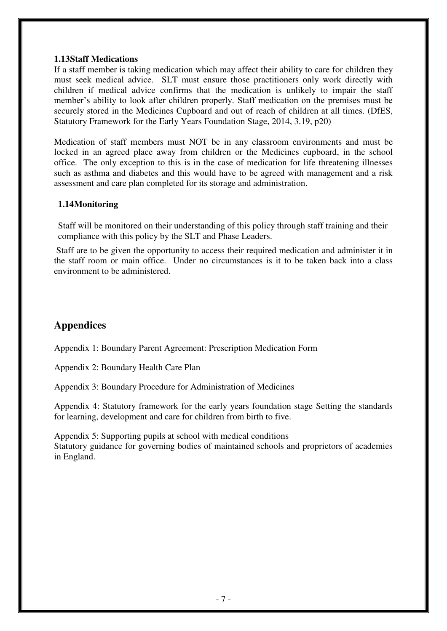#### **1.13Staff Medications**

If a staff member is taking medication which may affect their ability to care for children they must seek medical advice. SLT must ensure those practitioners only work directly with children if medical advice confirms that the medication is unlikely to impair the staff member's ability to look after children properly. Staff medication on the premises must be securely stored in the Medicines Cupboard and out of reach of children at all times. (DfES, Statutory Framework for the Early Years Foundation Stage, 2014, 3.19, p20)

Medication of staff members must NOT be in any classroom environments and must be locked in an agreed place away from children or the Medicines cupboard, in the school office. The only exception to this is in the case of medication for life threatening illnesses such as asthma and diabetes and this would have to be agreed with management and a risk assessment and care plan completed for its storage and administration.

#### **1.14Monitoring**

Staff will be monitored on their understanding of this policy through staff training and their compliance with this policy by the SLT and Phase Leaders.

 Staff are to be given the opportunity to access their required medication and administer it in the staff room or main office. Under no circumstances is it to be taken back into a class environment to be administered.

# **Appendices**

Appendix 1: Boundary Parent Agreement: Prescription Medication Form

Appendix 2: Boundary Health Care Plan

Appendix 3: Boundary Procedure for Administration of Medicines

Appendix 4: Statutory framework for the early years foundation stage Setting the standards for learning, development and care for children from birth to five.

Appendix 5: Supporting pupils at school with medical conditions Statutory guidance for governing bodies of maintained schools and proprietors of academies in England.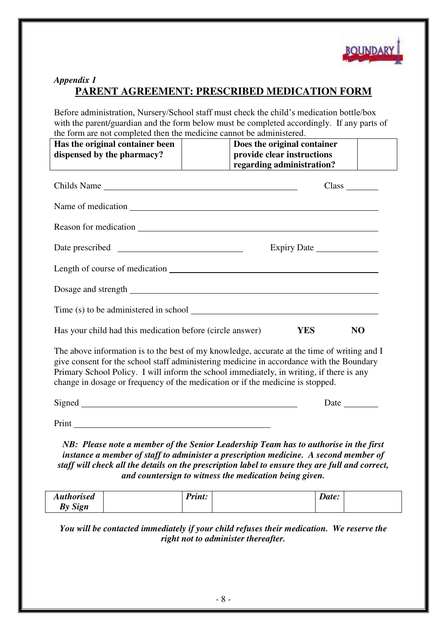

# **PARENT AGREEMENT: PRESCRIBED MEDICATION FORM**

Before administration, Nursery/School staff must check the child's medication bottle/box with the parent/guardian and the form below must be completed accordingly. If any parts of the form are not completed then the medicine cannot be administered.

| Has the original container been | Does the original container |  |
|---------------------------------|-----------------------------|--|
| dispensed by the pharmacy?      | provide clear instructions  |  |
|                                 | regarding administration?   |  |
|                                 |                             |  |

|                                                           |            | $Class$ <sub>_____________</sub> |
|-----------------------------------------------------------|------------|----------------------------------|
|                                                           |            |                                  |
|                                                           |            |                                  |
|                                                           |            | Expiry Date                      |
|                                                           |            |                                  |
|                                                           |            |                                  |
|                                                           |            |                                  |
| Has your child had this medication before (circle answer) | <b>YES</b> | NO                               |

The above information is to the best of my knowledge, accurate at the time of writing and I give consent for the school staff administering medicine in accordance with the Boundary Primary School Policy. I will inform the school immediately, in writing, if there is any change in dosage or frequency of the medication or if the medicine is stopped.

| $\mathbf{C}$<br>$\gamma$ 1gnec | Jate<br>uw |  |
|--------------------------------|------------|--|
|                                |            |  |

Print

*NB: Please note a member of the Senior Leadership Team has to authorise in the first instance a member of staff to administer a prescription medicine. A second member of staff will check all the details on the prescription label to ensure they are full and correct, and countersign to witness the medication being given.* 

| Authorised                                      | $Dirichlet$<br>uu. | Date: |  |
|-------------------------------------------------|--------------------|-------|--|
| $\sim$<br>$\mathbf{B}\mathbf{y}$<br><b>Sign</b> |                    |       |  |

*You will be contacted immediately if your child refuses their medication. We reserve the right not to administer thereafter.*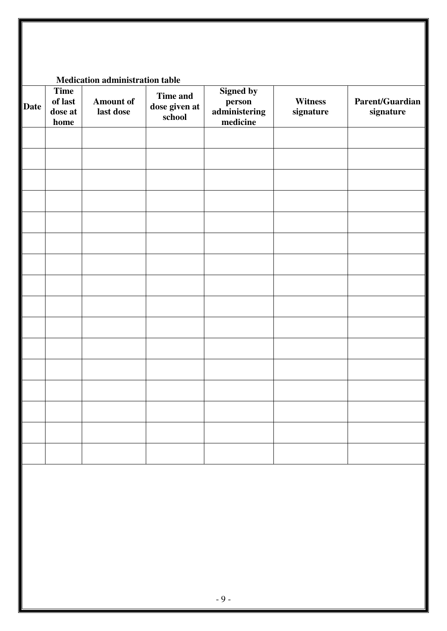| <b>Medication administration table</b> |                                           |                               |                                            |                                                         |                             |                              |
|----------------------------------------|-------------------------------------------|-------------------------------|--------------------------------------------|---------------------------------------------------------|-----------------------------|------------------------------|
| Date                                   | <b>Time</b><br>of last<br>dose at<br>home | <b>Amount of</b><br>last dose | <b>Time and</b><br>dose given at<br>school | <b>Signed by</b><br>person<br>administering<br>medicine | <b>Witness</b><br>signature | Parent/Guardian<br>signature |
|                                        |                                           |                               |                                            |                                                         |                             |                              |
|                                        |                                           |                               |                                            |                                                         |                             |                              |
|                                        |                                           |                               |                                            |                                                         |                             |                              |
|                                        |                                           |                               |                                            |                                                         |                             |                              |
|                                        |                                           |                               |                                            |                                                         |                             |                              |
|                                        |                                           |                               |                                            |                                                         |                             |                              |
|                                        |                                           |                               |                                            |                                                         |                             |                              |
|                                        |                                           |                               |                                            |                                                         |                             |                              |
|                                        |                                           |                               |                                            |                                                         |                             |                              |
|                                        |                                           |                               |                                            |                                                         |                             |                              |
|                                        |                                           |                               |                                            |                                                         |                             |                              |
|                                        |                                           |                               |                                            |                                                         |                             |                              |
|                                        |                                           |                               |                                            |                                                         |                             |                              |
|                                        |                                           |                               |                                            |                                                         |                             |                              |
|                                        |                                           |                               |                                            |                                                         |                             |                              |
|                                        |                                           |                               |                                            |                                                         |                             |                              |
|                                        |                                           |                               |                                            |                                                         |                             |                              |
|                                        |                                           |                               |                                            |                                                         |                             |                              |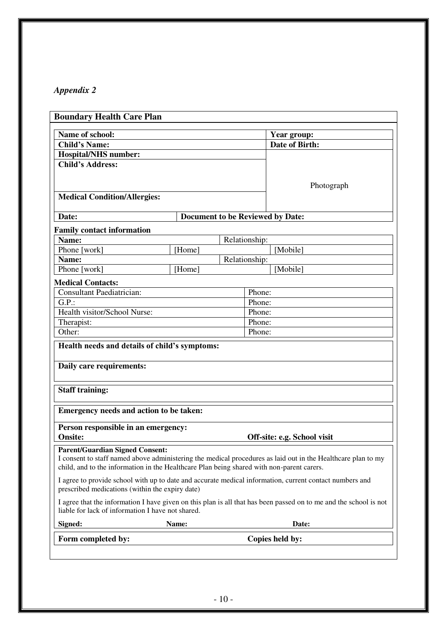| <b>Boundary Health Care Plan</b>                                                                                                                                                                                                                    |        |                                  |                 |  |  |
|-----------------------------------------------------------------------------------------------------------------------------------------------------------------------------------------------------------------------------------------------------|--------|----------------------------------|-----------------|--|--|
| Name of school:                                                                                                                                                                                                                                     |        |                                  | Year group:     |  |  |
| <b>Child's Name:</b>                                                                                                                                                                                                                                |        |                                  | Date of Birth:  |  |  |
| <b>Hospital/NHS</b> number:                                                                                                                                                                                                                         |        |                                  |                 |  |  |
| Child's Address:                                                                                                                                                                                                                                    |        |                                  |                 |  |  |
|                                                                                                                                                                                                                                                     |        |                                  |                 |  |  |
|                                                                                                                                                                                                                                                     |        |                                  | Photograph      |  |  |
| <b>Medical Condition/Allergies:</b>                                                                                                                                                                                                                 |        |                                  |                 |  |  |
|                                                                                                                                                                                                                                                     |        |                                  |                 |  |  |
| Date:                                                                                                                                                                                                                                               |        | Document to be Reviewed by Date: |                 |  |  |
| <b>Family contact information</b>                                                                                                                                                                                                                   |        |                                  |                 |  |  |
| Name:                                                                                                                                                                                                                                               |        | Relationship:                    |                 |  |  |
| Phone [work]                                                                                                                                                                                                                                        | [Home] |                                  | [Mobile]        |  |  |
| Name:                                                                                                                                                                                                                                               |        | Relationship:                    |                 |  |  |
| Phone [work]                                                                                                                                                                                                                                        | [Home] |                                  | [Mobile]        |  |  |
|                                                                                                                                                                                                                                                     |        |                                  |                 |  |  |
| <b>Medical Contacts:</b><br><b>Consultant Paediatrician:</b>                                                                                                                                                                                        |        | Phone:                           |                 |  |  |
| $G.P.$ :                                                                                                                                                                                                                                            |        |                                  |                 |  |  |
| Phone:<br>Health visitor/School Nurse:<br>Phone:                                                                                                                                                                                                    |        |                                  |                 |  |  |
| Therapist:<br>Phone:                                                                                                                                                                                                                                |        |                                  |                 |  |  |
| Other:<br>Phone:                                                                                                                                                                                                                                    |        |                                  |                 |  |  |
|                                                                                                                                                                                                                                                     |        |                                  |                 |  |  |
| Health needs and details of child's symptoms:                                                                                                                                                                                                       |        |                                  |                 |  |  |
| Daily care requirements:                                                                                                                                                                                                                            |        |                                  |                 |  |  |
| <b>Staff training:</b>                                                                                                                                                                                                                              |        |                                  |                 |  |  |
| Emergency needs and action to be taken:                                                                                                                                                                                                             |        |                                  |                 |  |  |
| Person responsible in an emergency:                                                                                                                                                                                                                 |        |                                  |                 |  |  |
| <b>Onsite:</b><br>Off-site: e.g. School visit                                                                                                                                                                                                       |        |                                  |                 |  |  |
| <b>Parent/Guardian Signed Consent:</b><br>I consent to staff named above administering the medical procedures as laid out in the Healthcare plan to my<br>child, and to the information in the Healthcare Plan being shared with non-parent carers. |        |                                  |                 |  |  |
| I agree to provide school with up to date and accurate medical information, current contact numbers and<br>prescribed medications (within the expiry date)                                                                                          |        |                                  |                 |  |  |
| I agree that the information I have given on this plan is all that has been passed on to me and the school is not<br>liable for lack of information I have not shared.                                                                              |        |                                  |                 |  |  |
| Signed:                                                                                                                                                                                                                                             | Name:  |                                  | Date:           |  |  |
| Form completed by:                                                                                                                                                                                                                                  |        |                                  | Copies held by: |  |  |
|                                                                                                                                                                                                                                                     |        |                                  |                 |  |  |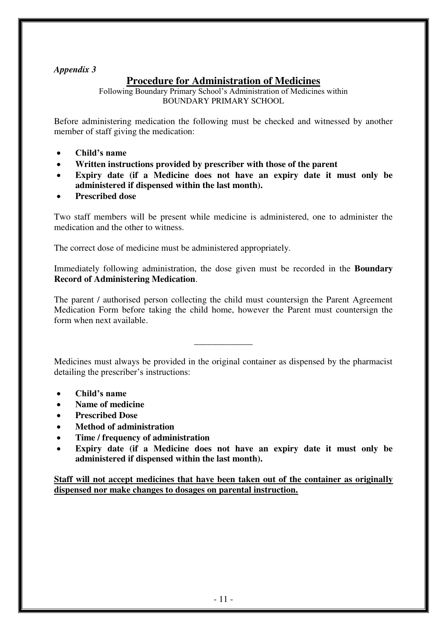# **Procedure for Administration of Medicines**

Following Boundary Primary School's Administration of Medicines within BOUNDARY PRIMARY SCHOOL

Before administering medication the following must be checked and witnessed by another member of staff giving the medication:

- **Child's name**
- **Written instructions provided by prescriber with those of the parent**
- **Expiry date (if a Medicine does not have an expiry date it must only be administered if dispensed within the last month).**
- **Prescribed dose**

Two staff members will be present while medicine is administered, one to administer the medication and the other to witness.

The correct dose of medicine must be administered appropriately.

Immediately following administration, the dose given must be recorded in the **Boundary Record of Administering Medication**.

The parent / authorised person collecting the child must countersign the Parent Agreement Medication Form before taking the child home, however the Parent must countersign the form when next available.

Medicines must always be provided in the original container as dispensed by the pharmacist detailing the prescriber's instructions:

\_\_\_\_\_\_\_\_\_\_\_\_\_

- **Child's name**
- **Name of medicine**
- **Prescribed Dose**
- **Method of administration**
- **Time / frequency of administration**
- **Expiry date (if a Medicine does not have an expiry date it must only be administered if dispensed within the last month).**

**Staff will not accept medicines that have been taken out of the container as originally dispensed nor make changes to dosages on parental instruction.**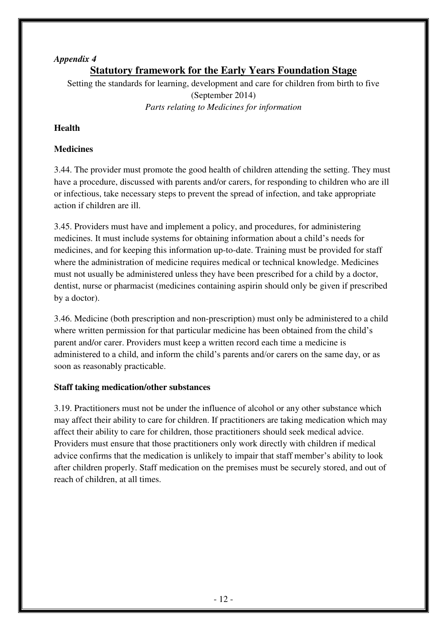# **Statutory framework for the Early Years Foundation Stage**

Setting the standards for learning, development and care for children from birth to five (September 2014) *Parts relating to Medicines for information* 

## **Health**

## **Medicines**

3.44. The provider must promote the good health of children attending the setting. They must have a procedure, discussed with parents and/or carers, for responding to children who are ill or infectious, take necessary steps to prevent the spread of infection, and take appropriate action if children are ill.

3.45. Providers must have and implement a policy, and procedures, for administering medicines. It must include systems for obtaining information about a child's needs for medicines, and for keeping this information up-to-date. Training must be provided for staff where the administration of medicine requires medical or technical knowledge. Medicines must not usually be administered unless they have been prescribed for a child by a doctor, dentist, nurse or pharmacist (medicines containing aspirin should only be given if prescribed by a doctor).

3.46. Medicine (both prescription and non-prescription) must only be administered to a child where written permission for that particular medicine has been obtained from the child's parent and/or carer. Providers must keep a written record each time a medicine is administered to a child, and inform the child's parents and/or carers on the same day, or as soon as reasonably practicable.

## **Staff taking medication/other substances**

3.19. Practitioners must not be under the influence of alcohol or any other substance which may affect their ability to care for children. If practitioners are taking medication which may affect their ability to care for children, those practitioners should seek medical advice. Providers must ensure that those practitioners only work directly with children if medical advice confirms that the medication is unlikely to impair that staff member's ability to look after children properly. Staff medication on the premises must be securely stored, and out of reach of children, at all times.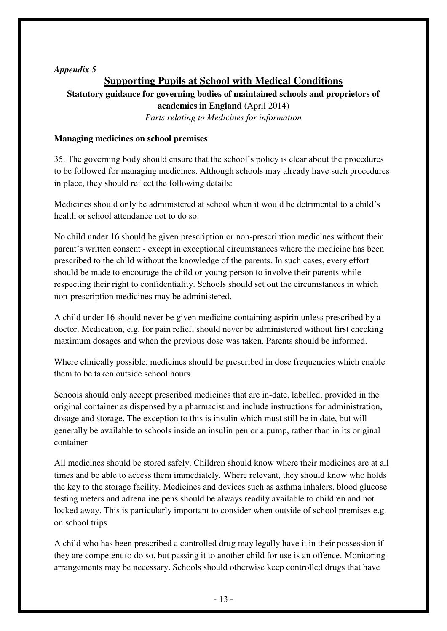# *Appendix 5*  **Supporting Pupils at School with Medical Conditions Statutory guidance for governing bodies of maintained schools and proprietors of academies in England** (April 2014) *Parts relating to Medicines for information*

#### **Managing medicines on school premises**

35. The governing body should ensure that the school's policy is clear about the procedures to be followed for managing medicines. Although schools may already have such procedures in place, they should reflect the following details:

Medicines should only be administered at school when it would be detrimental to a child's health or school attendance not to do so.

No child under 16 should be given prescription or non-prescription medicines without their parent's written consent - except in exceptional circumstances where the medicine has been prescribed to the child without the knowledge of the parents. In such cases, every effort should be made to encourage the child or young person to involve their parents while respecting their right to confidentiality. Schools should set out the circumstances in which non-prescription medicines may be administered.

A child under 16 should never be given medicine containing aspirin unless prescribed by a doctor. Medication, e.g. for pain relief, should never be administered without first checking maximum dosages and when the previous dose was taken. Parents should be informed.

Where clinically possible, medicines should be prescribed in dose frequencies which enable them to be taken outside school hours.

Schools should only accept prescribed medicines that are in-date, labelled, provided in the original container as dispensed by a pharmacist and include instructions for administration, dosage and storage. The exception to this is insulin which must still be in date, but will generally be available to schools inside an insulin pen or a pump, rather than in its original container

All medicines should be stored safely. Children should know where their medicines are at all times and be able to access them immediately. Where relevant, they should know who holds the key to the storage facility. Medicines and devices such as asthma inhalers, blood glucose testing meters and adrenaline pens should be always readily available to children and not locked away. This is particularly important to consider when outside of school premises e.g. on school trips

A child who has been prescribed a controlled drug may legally have it in their possession if they are competent to do so, but passing it to another child for use is an offence. Monitoring arrangements may be necessary. Schools should otherwise keep controlled drugs that have